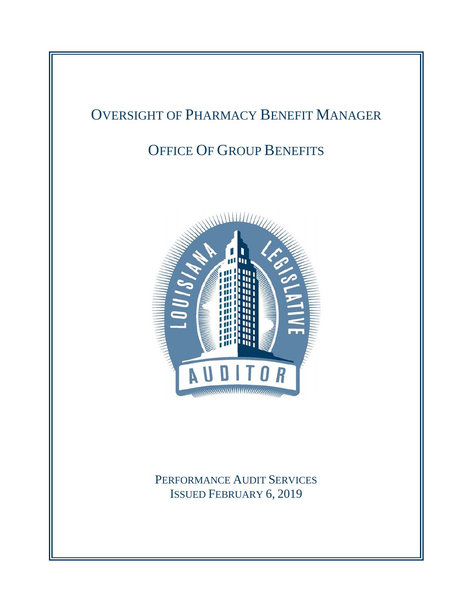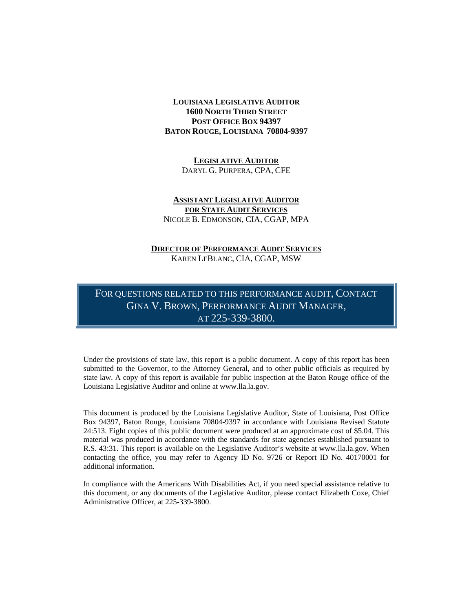#### **LOUISIANA LEGISLATIVE AUDITOR 1600 NORTH THIRD STREET POST OFFICE BOX 94397 BATON ROUGE, LOUISIANA 70804-9397**

**LEGISLATIVE AUDITOR** DARYL G. PURPERA, CPA, CFE

#### **ASSISTANT LEGISLATIVE AUDITOR FOR STATE AUDIT SERVICES** NICOLE B. EDMONSON, CIA, CGAP, MPA

#### **DIRECTOR OF PERFORMANCE AUDIT SERVICES** KAREN LEBLANC, CIA, CGAP, MSW

FOR QUESTIONS RELATED TO THIS PERFORMANCE AUDIT, CONTACT GINA V. BROWN, PERFORMANCE AUDIT MANAGER, AT 225-339-3800.

Under the provisions of state law, this report is a public document. A copy of this report has been submitted to the Governor, to the Attorney General, and to other public officials as required by state law. A copy of this report is available for public inspection at the Baton Rouge office of the Louisiana Legislative Auditor and online at www.lla.la.gov.

This document is produced by the Louisiana Legislative Auditor, State of Louisiana, Post Office Box 94397, Baton Rouge, Louisiana 70804-9397 in accordance with Louisiana Revised Statute 24:513. Eight copies of this public document were produced at an approximate cost of \$5.04. This material was produced in accordance with the standards for state agencies established pursuant to R.S. 43:31. This report is available on the Legislative Auditor's website at www.lla.la.gov. When contacting the office, you may refer to Agency ID No. 9726 or Report ID No. 40170001 for additional information.

In compliance with the Americans With Disabilities Act, if you need special assistance relative to this document, or any documents of the Legislative Auditor, please contact Elizabeth Coxe, Chief Administrative Officer, at 225-339-3800.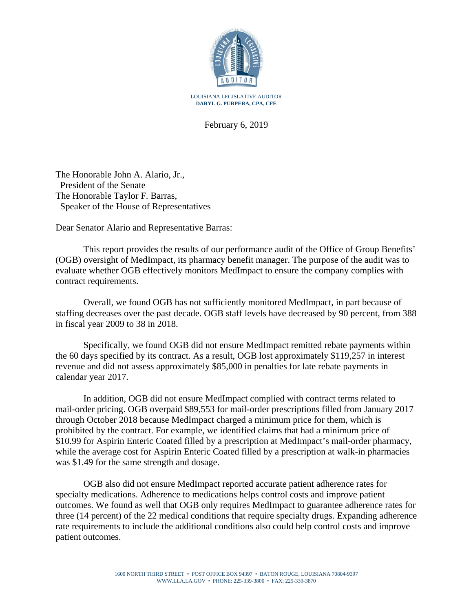

February 6, 2019

The Honorable John A. Alario, Jr., President of the Senate The Honorable Taylor F. Barras, Speaker of the House of Representatives

Dear Senator Alario and Representative Barras:

This report provides the results of our performance audit of the Office of Group Benefits' (OGB) oversight of MedImpact, its pharmacy benefit manager. The purpose of the audit was to evaluate whether OGB effectively monitors MedImpact to ensure the company complies with contract requirements.

Overall, we found OGB has not sufficiently monitored MedImpact, in part because of staffing decreases over the past decade. OGB staff levels have decreased by 90 percent, from 388 in fiscal year 2009 to 38 in 2018.

Specifically, we found OGB did not ensure MedImpact remitted rebate payments within the 60 days specified by its contract. As a result, OGB lost approximately \$119,257 in interest revenue and did not assess approximately \$85,000 in penalties for late rebate payments in calendar year 2017.

In addition, OGB did not ensure MedImpact complied with contract terms related to mail-order pricing. OGB overpaid \$89,553 for mail-order prescriptions filled from January 2017 through October 2018 because MedImpact charged a minimum price for them, which is prohibited by the contract. For example, we identified claims that had a minimum price of \$10.99 for Aspirin Enteric Coated filled by a prescription at MedImpact's mail-order pharmacy, while the average cost for Aspirin Enteric Coated filled by a prescription at walk-in pharmacies was \$1.49 for the same strength and dosage.

OGB also did not ensure MedImpact reported accurate patient adherence rates for specialty medications. Adherence to medications helps control costs and improve patient outcomes. We found as well that OGB only requires MedImpact to guarantee adherence rates for three (14 percent) of the 22 medical conditions that require specialty drugs. Expanding adherence rate requirements to include the additional conditions also could help control costs and improve patient outcomes.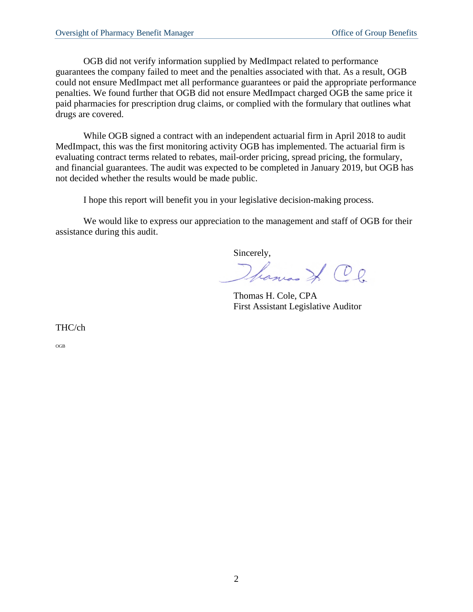OGB did not verify information supplied by MedImpact related to performance guarantees the company failed to meet and the penalties associated with that. As a result, OGB could not ensure MedImpact met all performance guarantees or paid the appropriate performance penalties. We found further that OGB did not ensure MedImpact charged OGB the same price it paid pharmacies for prescription drug claims, or complied with the formulary that outlines what drugs are covered.

While OGB signed a contract with an independent actuarial firm in April 2018 to audit MedImpact, this was the first monitoring activity OGB has implemented. The actuarial firm is evaluating contract terms related to rebates, mail-order pricing, spread pricing, the formulary, and financial guarantees. The audit was expected to be completed in January 2019, but OGB has not decided whether the results would be made public.

I hope this report will benefit you in your legislative decision-making process.

We would like to express our appreciation to the management and staff of OGB for their assistance during this audit.

Sincerely, Hanco J. C.l.

Thomas H. Cole, CPA First Assistant Legislative Auditor

THC/ch

OGB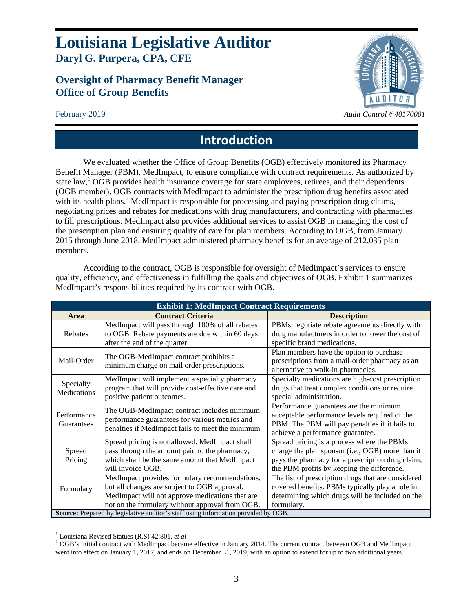## **Louisiana Legislative Auditor Daryl G. Purpera, CPA, CFE**

## **Oversight of Pharmacy Benefit Manager Office of Group Benefits**



## **Introduction**

We evaluated whether the Office of Group Benefits (OGB) effectively monitored its Pharmacy Benefit Manager (PBM), MedImpact, to ensure compliance with contract requirements. As authorized by state law,<sup>1</sup> OGB provides health insurance coverage for state employees, retirees, and their dependents (OGB member). OGB contracts with MedImpact to administer the prescription drug benefits associated with its health plans.<sup>2</sup> MedImpact is responsible for processing and paying prescription drug claims, negotiating prices and rebates for medications with drug manufacturers, and contracting with pharmacies to fill prescriptions. MedImpact also provides additional services to assist OGB in managing the cost of the prescription plan and ensuring quality of care for plan members. According to OGB, from January 2015 through June 2018, MedImpact administered pharmacy benefits for an average of 212,035 plan members.

According to the contract, OGB is responsible for oversight of MedImpact's services to ensure quality, efficiency, and effectiveness in fulfilling the goals and objectives of OGB. Exhibit 1 summarizes MedImpact's responsibilities required by its contract with OGB.

| <b>Exhibit 1: MedImpact Contract Requirements</b>                                         |                                                   |                                                    |  |  |
|-------------------------------------------------------------------------------------------|---------------------------------------------------|----------------------------------------------------|--|--|
| Area                                                                                      | <b>Contract Criteria</b>                          | <b>Description</b>                                 |  |  |
|                                                                                           | MedImpact will pass through 100% of all rebates   | PBMs negotiate rebate agreements directly with     |  |  |
| Rebates                                                                                   | to OGB. Rebate payments are due within 60 days    | drug manufacturers in order to lower the cost of   |  |  |
|                                                                                           | after the end of the quarter.                     | specific brand medications.                        |  |  |
| Mail-Order                                                                                | The OGB-MedImpact contract prohibits a            | Plan members have the option to purchase           |  |  |
|                                                                                           | minimum charge on mail order prescriptions.       | prescriptions from a mail-order pharmacy as an     |  |  |
|                                                                                           |                                                   | alternative to walk-in pharmacies.                 |  |  |
| Specialty                                                                                 | MedImpact will implement a specialty pharmacy     | Specialty medications are high-cost prescription   |  |  |
| Medications                                                                               | program that will provide cost-effective care and | drugs that treat complex conditions or require     |  |  |
|                                                                                           | positive patient outcomes.                        | special administration.                            |  |  |
|                                                                                           | The OGB-MedImpact contract includes minimum       | Performance guarantees are the minimum             |  |  |
| Performance                                                                               | performance guarantees for various metrics and    | acceptable performance levels required of the      |  |  |
| Guarantees                                                                                | penalties if MedImpact fails to meet the minimum. | PBM. The PBM will pay penalties if it fails to     |  |  |
|                                                                                           |                                                   | achieve a performance guarantee.                   |  |  |
|                                                                                           | Spread pricing is not allowed. MedImpact shall    | Spread pricing is a process where the PBMs         |  |  |
| Spread                                                                                    | pass through the amount paid to the pharmacy,     | charge the plan sponsor (i.e., OGB) more than it   |  |  |
| Pricing                                                                                   | which shall be the same amount that MedImpact     | pays the pharmacy for a prescription drug claim;   |  |  |
|                                                                                           | will invoice OGB.                                 | the PBM profits by keeping the difference.         |  |  |
|                                                                                           | MedImpact provides formulary recommendations,     | The list of prescription drugs that are considered |  |  |
| Formulary                                                                                 | but all changes are subject to OGB approval.      | covered benefits. PBMs typically play a role in    |  |  |
|                                                                                           | MedImpact will not approve medications that are   | determining which drugs will be included on the    |  |  |
|                                                                                           | not on the formulary without approval from OGB.   | formulary.                                         |  |  |
| <b>Source:</b> Prepared by legislative auditor's staff using information provided by OGB. |                                                   |                                                    |  |  |

 $\overline{a}$ <sup>1</sup> Louisiana Revised Statues (R.S.) 42:801, *et al* 2<br>2 OCP/s initial contract with MadImpact become

<sup>&</sup>lt;sup>2</sup> OGB's initial contract with MedImpact became effective in January 2014. The current contract between OGB and MedImpact went into effect on January 1, 2017, and ends on December 31, 2019, with an option to extend for up to two additional years.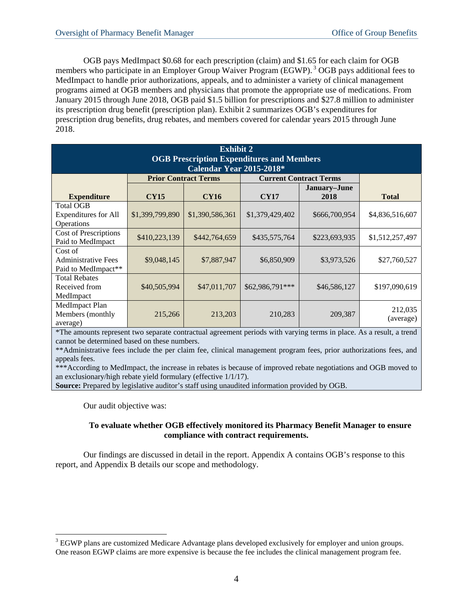OGB pays MedImpact \$0.68 for each prescription (claim) and \$1.65 for each claim for OGB members who participate in an Employer Group Waiver Program (EGWP).<sup>3</sup> OGB pays additional fees to MedImpact to handle prior authorizations, appeals, and to administer a variety of clinical management programs aimed at OGB members and physicians that promote the appropriate use of medications. From January 2015 through June 2018, OGB paid \$1.5 billion for prescriptions and \$27.8 million to administer its prescription drug benefit (prescription plan). Exhibit 2 summarizes OGB's expenditures for prescription drug benefits, drug rebates, and members covered for calendar years 2015 through June 2018.

| <b>Exhibit 2</b>                                 |                             |                 |                               |               |                 |  |
|--------------------------------------------------|-----------------------------|-----------------|-------------------------------|---------------|-----------------|--|
| <b>OGB Prescription Expenditures and Members</b> |                             |                 |                               |               |                 |  |
| Calendar Year 2015-2018*                         |                             |                 |                               |               |                 |  |
|                                                  | <b>Prior Contract Terms</b> |                 | <b>Current Contract Terms</b> |               |                 |  |
|                                                  |                             |                 |                               | January-June  |                 |  |
| <b>Expenditure</b>                               | <b>CY15</b>                 | <b>CY16</b>     | <b>CY17</b>                   | 2018          | <b>Total</b>    |  |
| <b>Total OGB</b>                                 |                             |                 |                               |               |                 |  |
| <b>Expenditures for All</b>                      | \$1,399,799,890             | \$1,390,586,361 | \$1,379,429,402               | \$666,700,954 | \$4,836,516,607 |  |
| <b>Operations</b>                                |                             |                 |                               |               |                 |  |
| <b>Cost of Prescriptions</b>                     | \$410,223,139               | \$442,764,659   | \$435,575,764                 | \$223,693,935 | \$1,512,257,497 |  |
| Paid to MedImpact                                |                             |                 |                               |               |                 |  |
| Cost of                                          |                             |                 |                               |               |                 |  |
| <b>Administrative Fees</b>                       | \$9,048,145                 | \$7,887,947     | \$6,850,909                   | \$3,973,526   | \$27,760,527    |  |
| Paid to MedImpact**                              |                             |                 |                               |               |                 |  |
| <b>Total Rebates</b>                             |                             |                 |                               |               |                 |  |
| Received from                                    | \$40,505,994                | \$47,011,707    | \$62,986,791***               | \$46,586,127  | \$197,090,619   |  |
| MedImpact                                        |                             |                 |                               |               |                 |  |
| MedImpact Plan                                   |                             |                 |                               |               | 212,035         |  |
| Members (monthly                                 | 215,266                     | 213,203         | 210,283                       | 209,387       | (average)       |  |
| average)                                         |                             |                 |                               |               |                 |  |

\*The amounts represent two separate contractual agreement periods with varying terms in place. As a result, a trend cannot be determined based on these numbers.

\*\*Administrative fees include the per claim fee, clinical management program fees, prior authorizations fees, and appeals fees.

\*\*\*According to MedImpact, the increase in rebates is because of improved rebate negotiations and OGB moved to an exclusionary/high rebate yield formulary (effective 1/1/17).

**Source:** Prepared by legislative auditor's staff using unaudited information provided by OGB.

Our audit objective was:

 $\overline{a}$ 

### **To evaluate whether OGB effectively monitored its Pharmacy Benefit Manager to ensure compliance with contract requirements.**

Our findings are discussed in detail in the report. Appendix A contains OGB's response to this report, and Appendix B details our scope and methodology.

 $3$  EGWP plans are customized Medicare Advantage plans developed exclusively for employer and union groups. One reason EGWP claims are more expensive is because the fee includes the clinical management program fee.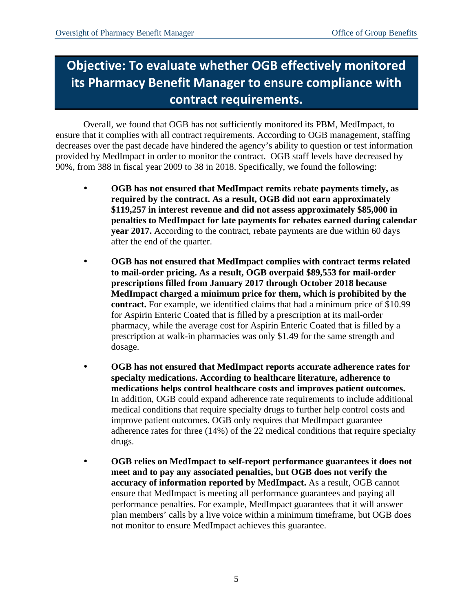# **Objective: To evaluate whether OGB effectively monitored its Pharmacy Benefit Manager to ensure compliance with contract requirements.**

Overall, we found that OGB has not sufficiently monitored its PBM, MedImpact, to ensure that it complies with all contract requirements. According to OGB management, staffing decreases over the past decade have hindered the agency's ability to question or test information provided by MedImpact in order to monitor the contract. OGB staff levels have decreased by 90%, from 388 in fiscal year 2009 to 38 in 2018. Specifically, we found the following:

- **OGB has not ensured that MedImpact remits rebate payments timely, as required by the contract. As a result, OGB did not earn approximately \$119,257 in interest revenue and did not assess approximately \$85,000 in penalties to MedImpact for late payments for rebates earned during calendar year 2017.** According to the contract, rebate payments are due within 60 days after the end of the quarter.
- **OGB has not ensured that MedImpact complies with contract terms related to mail-order pricing. As a result, OGB overpaid \$89,553 for mail-order prescriptions filled from January 2017 through October 2018 because MedImpact charged a minimum price for them, which is prohibited by the contract.** For example, we identified claims that had a minimum price of \$10.99 for Aspirin Enteric Coated that is filled by a prescription at its mail-order pharmacy, while the average cost for Aspirin Enteric Coated that is filled by a prescription at walk-in pharmacies was only \$1.49 for the same strength and dosage.
- **OGB has not ensured that MedImpact reports accurate adherence rates for specialty medications. According to healthcare literature, adherence to medications helps control healthcare costs and improves patient outcomes.**  In addition, OGB could expand adherence rate requirements to include additional medical conditions that require specialty drugs to further help control costs and improve patient outcomes. OGB only requires that MedImpact guarantee adherence rates for three (14%) of the 22 medical conditions that require specialty drugs.
- **OGB relies on MedImpact to self-report performance guarantees it does not meet and to pay any associated penalties, but OGB does not verify the accuracy of information reported by MedImpact.** As a result, OGB cannot ensure that MedImpact is meeting all performance guarantees and paying all performance penalties. For example, MedImpact guarantees that it will answer plan members' calls by a live voice within a minimum timeframe, but OGB does not monitor to ensure MedImpact achieves this guarantee.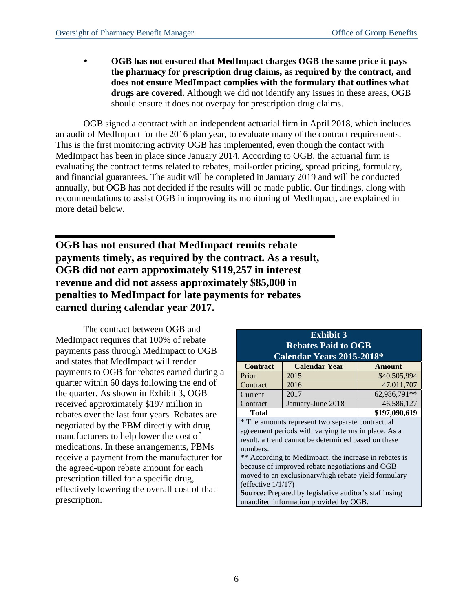**OGB has not ensured that MedImpact charges OGB the same price it pays the pharmacy for prescription drug claims, as required by the contract, and does not ensure MedImpact complies with the formulary that outlines what drugs are covered.** Although we did not identify any issues in these areas, OGB should ensure it does not overpay for prescription drug claims.

OGB signed a contract with an independent actuarial firm in April 2018, which includes an audit of MedImpact for the 2016 plan year, to evaluate many of the contract requirements. This is the first monitoring activity OGB has implemented, even though the contact with MedImpact has been in place since January 2014. According to OGB, the actuarial firm is evaluating the contract terms related to rebates, mail-order pricing, spread pricing, formulary, and financial guarantees. The audit will be completed in January 2019 and will be conducted annually, but OGB has not decided if the results will be made public. Our findings, along with recommendations to assist OGB in improving its monitoring of MedImpact, are explained in more detail below.

**OGB has not ensured that MedImpact remits rebate payments timely, as required by the contract. As a result, OGB did not earn approximately \$119,257 in interest revenue and did not assess approximately \$85,000 in penalties to MedImpact for late payments for rebates earned during calendar year 2017.** 

The contract between OGB and MedImpact requires that 100% of rebate payments pass through MedImpact to OGB and states that MedImpact will render payments to OGB for rebates earned during a quarter within 60 days following the end of the quarter. As shown in Exhibit 3, OGB received approximately \$197 million in rebates over the last four years. Rebates are negotiated by the PBM directly with drug manufacturers to help lower the cost of medications. In these arrangements, PBMs receive a payment from the manufacturer for the agreed-upon rebate amount for each prescription filled for a specific drug, effectively lowering the overall cost of that prescription.

| <b>Exhibit 3</b>                                             |                                                     |              |  |  |
|--------------------------------------------------------------|-----------------------------------------------------|--------------|--|--|
| <b>Rebates Paid to OGB</b>                                   |                                                     |              |  |  |
|                                                              | <b>Calendar Years 2015-2018*</b>                    |              |  |  |
| <b>Contract</b>                                              | <b>Calendar Year</b>                                | Amount       |  |  |
| Prior                                                        | 2015                                                | \$40,505,994 |  |  |
| Contract                                                     | 2016                                                | 47,011,707   |  |  |
| Current                                                      | 2017                                                | 62,986,791** |  |  |
| Contract                                                     | January-June 2018                                   | 46,586,127   |  |  |
| \$197,090,619<br><b>Total</b>                                |                                                     |              |  |  |
|                                                              | * The amounts represent two separate contractual    |              |  |  |
|                                                              | agreement periods with varying terms in place. As a |              |  |  |
|                                                              | result, a trend cannot be determined based on these |              |  |  |
| numbers.                                                     |                                                     |              |  |  |
| ** According to MedImpact, the increase in rebates is        |                                                     |              |  |  |
| because of improved rebate negotiations and OGB              |                                                     |              |  |  |
| moved to an exclusionary/high rebate yield formulary         |                                                     |              |  |  |
| (effective $1/1/17$ )                                        |                                                     |              |  |  |
| <b>Source:</b> Prepared by legislative auditor's staff using |                                                     |              |  |  |
| unaudited information provided by OGB.                       |                                                     |              |  |  |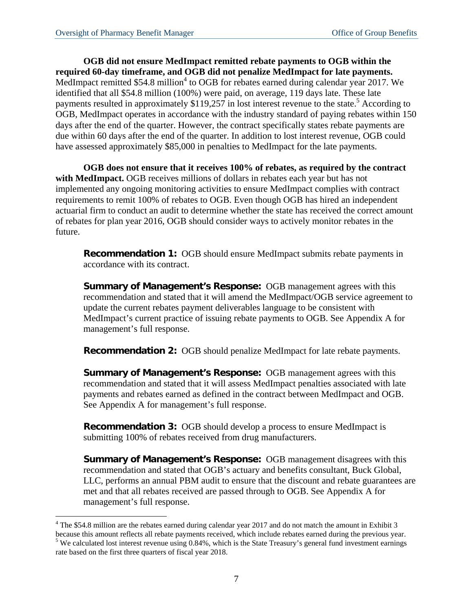<u>.</u>

**OGB did not ensure MedImpact remitted rebate payments to OGB within the required 60-day timeframe, and OGB did not penalize MedImpact for late payments.**  MedImpact remitted \$54.8 million<sup>4</sup> to OGB for rebates earned during calendar year 2017. We identified that all \$54.8 million (100%) were paid, on average, 119 days late. These late payments resulted in approximately  $$119,257$  in lost interest revenue to the state.<sup>5</sup> According to OGB, MedImpact operates in accordance with the industry standard of paying rebates within 150 days after the end of the quarter. However, the contract specifically states rebate payments are due within 60 days after the end of the quarter. In addition to lost interest revenue, OGB could have assessed approximately \$85,000 in penalties to MedImpact for the late payments.

**OGB does not ensure that it receives 100% of rebates, as required by the contract with MedImpact.** OGB receives millions of dollars in rebates each year but has not implemented any ongoing monitoring activities to ensure MedImpact complies with contract requirements to remit 100% of rebates to OGB. Even though OGB has hired an independent actuarial firm to conduct an audit to determine whether the state has received the correct amount of rebates for plan year 2016, OGB should consider ways to actively monitor rebates in the future.

**Recommendation 1:** OGB should ensure MedImpact submits rebate payments in accordance with its contract.

**Summary of Management's Response:** OGB management agrees with this recommendation and stated that it will amend the MedImpact/OGB service agreement to update the current rebates payment deliverables language to be consistent with MedImpact's current practice of issuing rebate payments to OGB. See Appendix A for management's full response.

**Recommendation 2:** OGB should penalize MedImpact for late rebate payments.

**Summary of Management's Response:** OGB management agrees with this recommendation and stated that it will assess MedImpact penalties associated with late payments and rebates earned as defined in the contract between MedImpact and OGB. See Appendix A for management's full response.

**Recommendation 3:** OGB should develop a process to ensure MedImpact is submitting 100% of rebates received from drug manufacturers.

**Summary of Management's Response:** OGB management disagrees with this recommendation and stated that OGB's actuary and benefits consultant, Buck Global, LLC, performs an annual PBM audit to ensure that the discount and rebate guarantees are met and that all rebates received are passed through to OGB. See Appendix A for management's full response.

 $4$  The \$54.8 million are the rebates earned during calendar year 2017 and do not match the amount in Exhibit 3

because this amount reflects all rebate payments received, which include rebates earned during the previous year. 5  $5$  We calculated lost interest revenue using 0.84%, which is the State Treasury's general fund investment earnings rate based on the first three quarters of fiscal year 2018.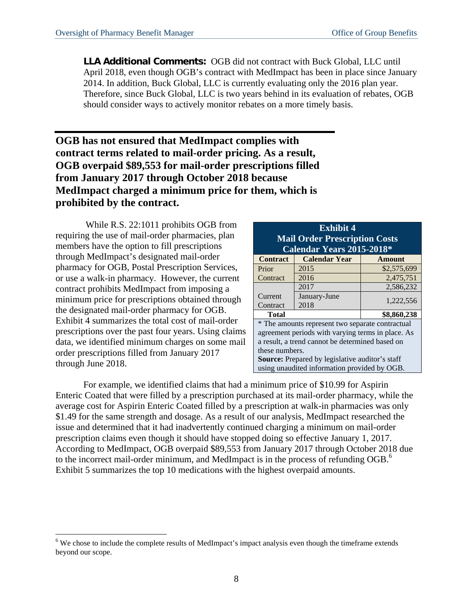**LLA Additional Comments:** OGB did not contract with Buck Global, LLC until April 2018, even though OGB's contract with MedImpact has been in place since January 2014. In addition, Buck Global, LLC is currently evaluating only the 2016 plan year. Therefore, since Buck Global, LLC is two years behind in its evaluation of rebates, OGB should consider ways to actively monitor rebates on a more timely basis.

### **OGB has not ensured that MedImpact complies with contract terms related to mail-order pricing. As a result, OGB overpaid \$89,553 for mail-order prescriptions filled from January 2017 through October 2018 because MedImpact charged a minimum price for them, which is prohibited by the contract.**

 While R.S. 22:1011 prohibits OGB from requiring the use of mail-order pharmacies, plan members have the option to fill prescriptions through MedImpact's designated mail-order pharmacy for OGB, Postal Prescription Services, or use a walk-in pharmacy. However, the current contract prohibits MedImpact from imposing a minimum price for prescriptions obtained through the designated mail-order pharmacy for OGB. Exhibit 4 summarizes the total cost of mail-order prescriptions over the past four years. Using claims data, we identified minimum charges on some mail order prescriptions filled from January 2017 through June 2018.

1

| <b>Exhibit 4</b>                                       |                      |               |  |  |  |  |  |
|--------------------------------------------------------|----------------------|---------------|--|--|--|--|--|
| <b>Mail Order Prescription Costs</b>                   |                      |               |  |  |  |  |  |
| Calendar Years 2015-2018*                              |                      |               |  |  |  |  |  |
| <b>Contract</b>                                        | <b>Calendar Year</b> | <b>Amount</b> |  |  |  |  |  |
| Prior                                                  | 2015                 | \$2,575,699   |  |  |  |  |  |
| Contract                                               | 2016                 | 2,475,751     |  |  |  |  |  |
|                                                        | 2017                 | 2,586,232     |  |  |  |  |  |
| Current                                                | January-June         | 1,222,556     |  |  |  |  |  |
| 2018<br>Contract                                       |                      |               |  |  |  |  |  |
| \$8,860,238<br>Total                                   |                      |               |  |  |  |  |  |
| * The amounts represent two separate contractual       |                      |               |  |  |  |  |  |
| agreement periods with varying terms in place. As      |                      |               |  |  |  |  |  |
| a result, a trend cannot be determined based on        |                      |               |  |  |  |  |  |
| these numbers.                                         |                      |               |  |  |  |  |  |
| <b>Source:</b> Prepared by legislative auditor's staff |                      |               |  |  |  |  |  |
| using unaudited information provided by OGB.           |                      |               |  |  |  |  |  |

For example, we identified claims that had a minimum price of \$10.99 for Aspirin Enteric Coated that were filled by a prescription purchased at its mail-order pharmacy, while the average cost for Aspirin Enteric Coated filled by a prescription at walk-in pharmacies was only \$1.49 for the same strength and dosage. As a result of our analysis, MedImpact researched the issue and determined that it had inadvertently continued charging a minimum on mail-order prescription claims even though it should have stopped doing so effective January 1, 2017. According to MedImpact, OGB overpaid \$89,553 from January 2017 through October 2018 due to the incorrect mail-order minimum, and MedImpact is in the process of refunding OGB.<sup>6</sup> Exhibit 5 summarizes the top 10 medications with the highest overpaid amounts.

<sup>&</sup>lt;sup>6</sup> We chose to include the complete results of MedImpact's impact analysis even though the timeframe extends beyond our scope.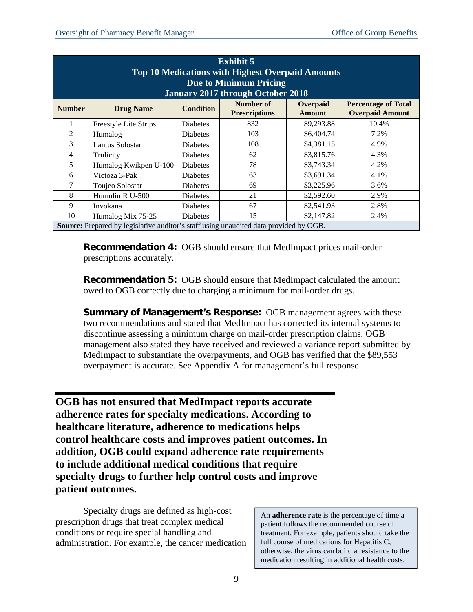| <b>Exhibit 5</b><br><b>Top 10 Medications with Highest Overpaid Amounts</b><br><b>Due to Minimum Pricing</b><br><b>January 2017 through October 2018</b> |                       |                  |                                   |                           |                                                      |
|----------------------------------------------------------------------------------------------------------------------------------------------------------|-----------------------|------------------|-----------------------------------|---------------------------|------------------------------------------------------|
| <b>Number</b>                                                                                                                                            | <b>Drug Name</b>      | <b>Condition</b> | Number of<br><b>Prescriptions</b> | Overpaid<br><b>Amount</b> | <b>Percentage of Total</b><br><b>Overpaid Amount</b> |
|                                                                                                                                                          | Freestyle Lite Strips | <b>Diabetes</b>  | 832                               | \$9,293.88                | 10.4%                                                |
| 2                                                                                                                                                        | Humalog               | <b>Diabetes</b>  | 103                               | \$6,404.74                | 7.2%                                                 |
| 3                                                                                                                                                        | Lantus Solostar       | <b>Diabetes</b>  | 108                               | \$4,381.15                | 4.9%                                                 |
| 4                                                                                                                                                        | Trulicity             | <b>Diabetes</b>  | 62                                | \$3,815.76                | 4.3%                                                 |
| 5                                                                                                                                                        | Humalog Kwikpen U-100 | <b>Diabetes</b>  | 78                                | \$3,743.34                | 4.2%                                                 |
| 6                                                                                                                                                        | Victoza 3-Pak         | <b>Diabetes</b>  | 63                                | \$3,691.34                | 4.1%                                                 |
| 7                                                                                                                                                        | Toujeo Solostar       | <b>Diabetes</b>  | 69                                | \$3,225.96                | 3.6%                                                 |
| 8                                                                                                                                                        | Humulin R U-500       | <b>Diabetes</b>  | 21                                | \$2,592.60                | 2.9%                                                 |
| 9                                                                                                                                                        | Invokana              | Diabetes         | 67                                | \$2,541.93                | 2.8%                                                 |
| 10                                                                                                                                                       | Humalog Mix 75-25     | Diabetes         | 15                                | \$2,147.82                | 2.4%                                                 |
| Source: Prepared by legislative auditor's staff using unaudited data provided by OGB.                                                                    |                       |                  |                                   |                           |                                                      |

**Recommendation 4:** OGB should ensure that MedImpact prices mail-order prescriptions accurately.

**Recommendation 5:** OGB should ensure that MedImpact calculated the amount owed to OGB correctly due to charging a minimum for mail-order drugs.

**Summary of Management's Response:** OGB management agrees with these two recommendations and stated that MedImpact has corrected its internal systems to discontinue assessing a minimum charge on mail-order prescription claims. OGB management also stated they have received and reviewed a variance report submitted by MedImpact to substantiate the overpayments, and OGB has verified that the \$89,553 overpayment is accurate. See Appendix A for management's full response.

**OGB has not ensured that MedImpact reports accurate adherence rates for specialty medications. According to healthcare literature, adherence to medications helps control healthcare costs and improves patient outcomes. In addition, OGB could expand adherence rate requirements to include additional medical conditions that require specialty drugs to further help control costs and improve patient outcomes.** 

Specialty drugs are defined as high-cost prescription drugs that treat complex medical conditions or require special handling and administration. For example, the cancer medication

An **adherence rate** is the percentage of time a patient follows the recommended course of treatment. For example, patients should take the full course of medications for Hepatitis C; otherwise, the virus can build a resistance to the medication resulting in additional health costs.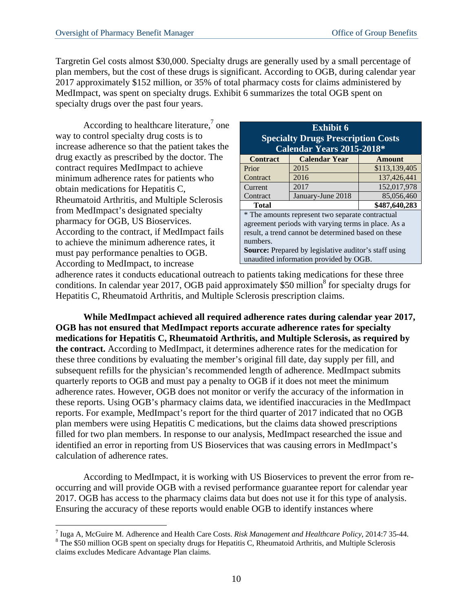Targretin Gel costs almost \$30,000. Specialty drugs are generally used by a small percentage of plan members, but the cost of these drugs is significant. According to OGB, during calendar year 2017 approximately \$152 million, or 35% of total pharmacy costs for claims administered by MedImpact, was spent on specialty drugs. Exhibit 6 summarizes the total OGB spent on specialty drugs over the past four years.

According to healthcare literature, $\alpha$  one way to control specialty drug costs is to increase adherence so that the patient takes the drug exactly as prescribed by the doctor. The contract requires MedImpact to achieve minimum adherence rates for patients who obtain medications for Hepatitis C, Rheumatoid Arthritis, and Multiple Sclerosis from MedImpact's designated specialty pharmacy for OGB, US Bioservices. According to the contract, if MedImpact fails to achieve the minimum adherence rates, it must pay performance penalties to OGB. According to MedImpact, to increase

| <b>Exhibit 6</b>                                             |                      |               |  |  |  |
|--------------------------------------------------------------|----------------------|---------------|--|--|--|
| <b>Specialty Drugs Prescription Costs</b>                    |                      |               |  |  |  |
| Calendar Years 2015-2018*                                    |                      |               |  |  |  |
| <b>Contract</b>                                              | <b>Calendar Year</b> | <b>Amount</b> |  |  |  |
| Prior                                                        | 2015                 | \$113,139,405 |  |  |  |
| Contract                                                     | 2016                 | 137,426,441   |  |  |  |
| Current                                                      | 2017                 | 152,017,978   |  |  |  |
| Contract                                                     | January-June 2018    | 85,056,460    |  |  |  |
| \$487,640,283<br><b>Total</b>                                |                      |               |  |  |  |
| * The amounts represent two separate contractual             |                      |               |  |  |  |
| agreement periods with varying terms in place. As a          |                      |               |  |  |  |
| result, a trend cannot be determined based on these          |                      |               |  |  |  |
| numbers.                                                     |                      |               |  |  |  |
| <b>Source:</b> Prepared by legislative auditor's staff using |                      |               |  |  |  |
| unaudited information provided by OGB.                       |                      |               |  |  |  |

adherence rates it conducts educational outreach to patients taking medications for these three conditions. In calendar year 2017, OGB paid approximately \$50 million<sup>8</sup> for specialty drugs for Hepatitis C, Rheumatoid Arthritis, and Multiple Sclerosis prescription claims.

**While MedImpact achieved all required adherence rates during calendar year 2017, OGB has not ensured that MedImpact reports accurate adherence rates for specialty medications for Hepatitis C, Rheumatoid Arthritis, and Multiple Sclerosis, as required by the contract.** According to MedImpact, it determines adherence rates for the medication for these three conditions by evaluating the member's original fill date, day supply per fill, and subsequent refills for the physician's recommended length of adherence. MedImpact submits quarterly reports to OGB and must pay a penalty to OGB if it does not meet the minimum adherence rates. However, OGB does not monitor or verify the accuracy of the information in these reports. Using OGB's pharmacy claims data, we identified inaccuracies in the MedImpact reports. For example, MedImpact's report for the third quarter of 2017 indicated that no OGB plan members were using Hepatitis C medications, but the claims data showed prescriptions filled for two plan members. In response to our analysis, MedImpact researched the issue and identified an error in reporting from US Bioservices that was causing errors in MedImpact's calculation of adherence rates.

According to MedImpact, it is working with US Bioservices to prevent the error from reoccurring and will provide OGB with a revised performance guarantee report for calendar year 2017. OGB has access to the pharmacy claims data but does not use it for this type of analysis. Ensuring the accuracy of these reports would enable OGB to identify instances where

 $\overline{a}$ <sup>7</sup> Iuga A, McGuire M. Adherence and Health Care Costs. *Risk Management and Healthcare Policy*, 2014:7 35-44.

<sup>&</sup>lt;sup>8</sup> The \$50 million OGB spent on specialty drugs for Hepatitis C, Rheumatoid Arthritis, and Multiple Sclerosis claims excludes Medicare Advantage Plan claims.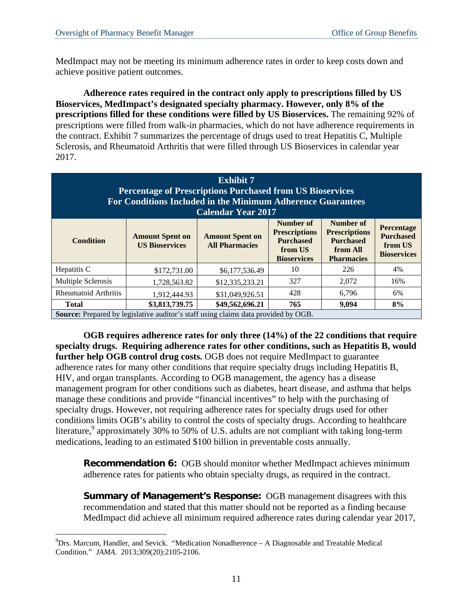MedImpact may not be meeting its minimum adherence rates in order to keep costs down and achieve positive patient outcomes.

**Adherence rates required in the contract only apply to prescriptions filled by US Bioservices, MedImpact's designated specialty pharmacy. However, only 8% of the prescriptions filled for these conditions were filled by US Bioservices.** The remaining 92% of prescriptions were filled from walk-in pharmacies, which do not have adherence requirements in the contract. Exhibit 7 summarizes the percentage of drugs used to treat Hepatitis C, Multiple Sclerosis, and Rheumatoid Arthritis that were filled through US Bioservices in calendar year 2017.

| <b>Exhibit 7</b><br><b>Percentage of Prescriptions Purchased from US Bioservices</b><br>For Conditions Included in the Minimum Adherence Guarantees<br><b>Calendar Year 2017</b> |                                                 |                                                 |                                                                                        |                                                                                        |                                                                 |
|----------------------------------------------------------------------------------------------------------------------------------------------------------------------------------|-------------------------------------------------|-------------------------------------------------|----------------------------------------------------------------------------------------|----------------------------------------------------------------------------------------|-----------------------------------------------------------------|
| <b>Condition</b>                                                                                                                                                                 | <b>Amount Spent on</b><br><b>US Bioservices</b> | <b>Amount Spent on</b><br><b>All Pharmacies</b> | Number of<br><b>Prescriptions</b><br><b>Purchased</b><br>from US<br><b>Bioservices</b> | Number of<br><b>Prescriptions</b><br><b>Purchased</b><br>from All<br><b>Pharmacies</b> | Percentage<br><b>Purchased</b><br>from US<br><b>Bioservices</b> |
| Hepatitis C                                                                                                                                                                      | \$172,731.00                                    | \$6,177,536.49                                  | 10                                                                                     | 226                                                                                    | 4%                                                              |
| Multiple Sclerosis                                                                                                                                                               | 1,728,563.82                                    | \$12,335,233.21                                 | 327                                                                                    | 2,072                                                                                  | 16%                                                             |
| Rheumatoid Arthritis                                                                                                                                                             | 1,912,444.93                                    | \$31,049,926.51                                 | 428                                                                                    | 6,796                                                                                  | 6%                                                              |
| <b>Total</b>                                                                                                                                                                     | \$3,813,739.75                                  | \$49,562,696.21                                 | 765                                                                                    | 9,094                                                                                  | 8%                                                              |
| <b>Source:</b> Prepared by legislative auditor's staff using claims data provided by OGB.                                                                                        |                                                 |                                                 |                                                                                        |                                                                                        |                                                                 |

**OGB requires adherence rates for only three (14%) of the 22 conditions that require specialty drugs. Requiring adherence rates for other conditions, such as Hepatitis B, would further help OGB control drug costs.** OGB does not require MedImpact to guarantee adherence rates for many other conditions that require specialty drugs including Hepatitis B, HIV, and organ transplants. According to OGB management, the agency has a disease management program for other conditions such as diabetes, heart disease, and asthma that helps manage these conditions and provide "financial incentives" to help with the purchasing of specialty drugs. However, not requiring adherence rates for specialty drugs used for other conditions limits OGB's ability to control the costs of specialty drugs. According to healthcare literature,<sup>9</sup> approximately 30% to 50% of U.S. adults are not compliant with taking long-term medications, leading to an estimated \$100 billion in preventable costs annually.

**Recommendation 6:** OGB should monitor whether MedImpact achieves minimum adherence rates for patients who obtain specialty drugs, as required in the contract.

**Summary of Management's Response:** OGB management disagrees with this recommendation and stated that this matter should not be reported as a finding because MedImpact did achieve all minimum required adherence rates during calendar year 2017,

 $\overline{a}$ 

 $^{9}$ Drs. Marcum, Handler, and Sevick. "Medication Nonadherence – A Diagnosable and Treatable Medical Condition." *JAMA*. 2013;309(20):2105-2106.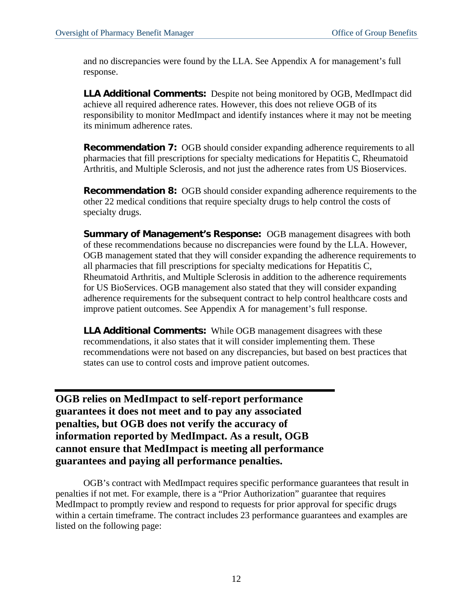and no discrepancies were found by the LLA. See Appendix A for management's full response.

**LLA Additional Comments:** Despite not being monitored by OGB, MedImpact did achieve all required adherence rates. However, this does not relieve OGB of its responsibility to monitor MedImpact and identify instances where it may not be meeting its minimum adherence rates.

**Recommendation 7:** OGB should consider expanding adherence requirements to all pharmacies that fill prescriptions for specialty medications for Hepatitis C, Rheumatoid Arthritis, and Multiple Sclerosis, and not just the adherence rates from US Bioservices.

**Recommendation 8:** OGB should consider expanding adherence requirements to the other 22 medical conditions that require specialty drugs to help control the costs of specialty drugs.

**Summary of Management's Response:** OGB management disagrees with both of these recommendations because no discrepancies were found by the LLA. However, OGB management stated that they will consider expanding the adherence requirements to all pharmacies that fill prescriptions for specialty medications for Hepatitis C, Rheumatoid Arthritis, and Multiple Sclerosis in addition to the adherence requirements for US BioServices. OGB management also stated that they will consider expanding adherence requirements for the subsequent contract to help control healthcare costs and improve patient outcomes. See Appendix A for management's full response.

**LLA Additional Comments:** While OGB management disagrees with these recommendations, it also states that it will consider implementing them. These recommendations were not based on any discrepancies, but based on best practices that states can use to control costs and improve patient outcomes.

**OGB relies on MedImpact to self-report performance guarantees it does not meet and to pay any associated penalties, but OGB does not verify the accuracy of information reported by MedImpact. As a result, OGB cannot ensure that MedImpact is meeting all performance guarantees and paying all performance penalties.** 

OGB's contract with MedImpact requires specific performance guarantees that result in penalties if not met. For example, there is a "Prior Authorization" guarantee that requires MedImpact to promptly review and respond to requests for prior approval for specific drugs within a certain timeframe. The contract includes 23 performance guarantees and examples are listed on the following page: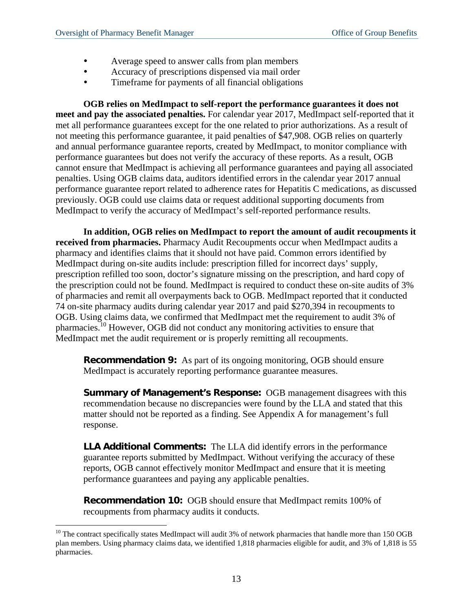$\overline{a}$ 

- Average speed to answer calls from plan members
- Accuracy of prescriptions dispensed via mail order
- Timeframe for payments of all financial obligations

**OGB relies on MedImpact to self-report the performance guarantees it does not meet and pay the associated penalties.** For calendar year 2017, MedImpact self-reported that it met all performance guarantees except for the one related to prior authorizations. As a result of not meeting this performance guarantee, it paid penalties of \$47,908. OGB relies on quarterly and annual performance guarantee reports, created by MedImpact, to monitor compliance with performance guarantees but does not verify the accuracy of these reports. As a result, OGB cannot ensure that MedImpact is achieving all performance guarantees and paying all associated penalties. Using OGB claims data, auditors identified errors in the calendar year 2017 annual performance guarantee report related to adherence rates for Hepatitis C medications, as discussed previously. OGB could use claims data or request additional supporting documents from MedImpact to verify the accuracy of MedImpact's self-reported performance results.

**In addition, OGB relies on MedImpact to report the amount of audit recoupments it received from pharmacies.** Pharmacy Audit Recoupments occur when MedImpact audits a pharmacy and identifies claims that it should not have paid. Common errors identified by MedImpact during on-site audits include: prescription filled for incorrect days' supply, prescription refilled too soon, doctor's signature missing on the prescription, and hard copy of the prescription could not be found. MedImpact is required to conduct these on-site audits of 3% of pharmacies and remit all overpayments back to OGB. MedImpact reported that it conducted 74 on-site pharmacy audits during calendar year 2017 and paid \$270,394 in recoupments to OGB. Using claims data, we confirmed that MedImpact met the requirement to audit 3% of pharmacies.10 However, OGB did not conduct any monitoring activities to ensure that MedImpact met the audit requirement or is properly remitting all recoupments.

**Recommendation 9:** As part of its ongoing monitoring, OGB should ensure MedImpact is accurately reporting performance guarantee measures.

**Summary of Management's Response:** OGB management disagrees with this recommendation because no discrepancies were found by the LLA and stated that this matter should not be reported as a finding. See Appendix A for management's full response.

**LLA Additional Comments:** The LLA did identify errors in the performance guarantee reports submitted by MedImpact. Without verifying the accuracy of these reports, OGB cannot effectively monitor MedImpact and ensure that it is meeting performance guarantees and paying any applicable penalties.

**Recommendation 10:** OGB should ensure that MedImpact remits 100% of recoupments from pharmacy audits it conducts.

 $10$  The contract specifically states MedImpact will audit 3% of network pharmacies that handle more than 150 OGB plan members. Using pharmacy claims data, we identified 1,818 pharmacies eligible for audit, and 3% of 1,818 is 55 pharmacies.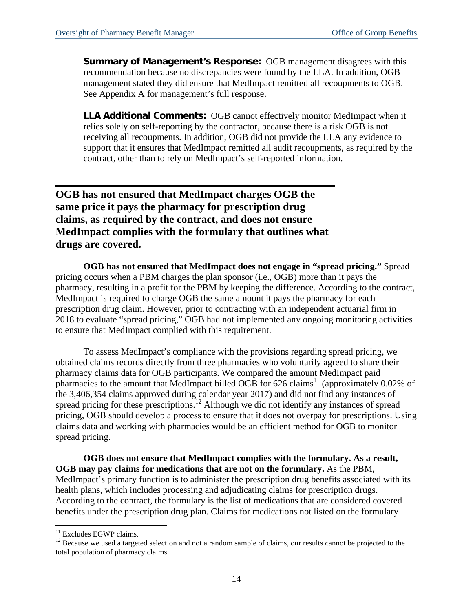**Summary of Management's Response:** OGB management disagrees with this recommendation because no discrepancies were found by the LLA. In addition, OGB management stated they did ensure that MedImpact remitted all recoupments to OGB. See Appendix A for management's full response.

**LLA Additional Comments:** OGB cannot effectively monitor MedImpact when it relies solely on self-reporting by the contractor, because there is a risk OGB is not receiving all recoupments. In addition, OGB did not provide the LLA any evidence to support that it ensures that MedImpact remitted all audit recoupments, as required by the contract, other than to rely on MedImpact's self-reported information.

**OGB has not ensured that MedImpact charges OGB the same price it pays the pharmacy for prescription drug claims, as required by the contract, and does not ensure MedImpact complies with the formulary that outlines what drugs are covered.** 

**OGB has not ensured that MedImpact does not engage in "spread pricing."** Spread pricing occurs when a PBM charges the plan sponsor (i.e., OGB) more than it pays the pharmacy, resulting in a profit for the PBM by keeping the difference. According to the contract, MedImpact is required to charge OGB the same amount it pays the pharmacy for each prescription drug claim. However, prior to contracting with an independent actuarial firm in 2018 to evaluate "spread pricing," OGB had not implemented any ongoing monitoring activities to ensure that MedImpact complied with this requirement.

To assess MedImpact's compliance with the provisions regarding spread pricing, we obtained claims records directly from three pharmacies who voluntarily agreed to share their pharmacy claims data for OGB participants. We compared the amount MedImpact paid pharmacies to the amount that MedImpact billed OGB for 626 claims<sup>11</sup> (approximately 0.02% of the 3,406,354 claims approved during calendar year 2017) and did not find any instances of spread pricing for these prescriptions.<sup>12</sup> Although we did not identify any instances of spread pricing, OGB should develop a process to ensure that it does not overpay for prescriptions. Using claims data and working with pharmacies would be an efficient method for OGB to monitor spread pricing.

**OGB does not ensure that MedImpact complies with the formulary. As a result, OGB may pay claims for medications that are not on the formulary.** As the PBM, MedImpact's primary function is to administer the prescription drug benefits associated with its health plans, which includes processing and adjudicating claims for prescription drugs. According to the contract, the formulary is the list of medications that are considered covered benefits under the prescription drug plan. Claims for medications not listed on the formulary

 $\overline{a}$ 

 $11$  Excludes EGWP claims.

 $12$  Because we used a targeted selection and not a random sample of claims, our results cannot be projected to the total population of pharmacy claims.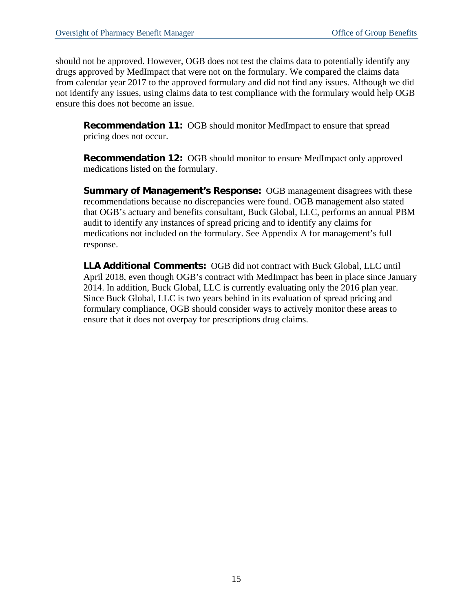should not be approved. However, OGB does not test the claims data to potentially identify any drugs approved by MedImpact that were not on the formulary. We compared the claims data from calendar year 2017 to the approved formulary and did not find any issues. Although we did not identify any issues, using claims data to test compliance with the formulary would help OGB ensure this does not become an issue.

**Recommendation 11:** OGB should monitor MedImpact to ensure that spread pricing does not occur.

**Recommendation 12:** OGB should monitor to ensure MedImpact only approved medications listed on the formulary.

**Summary of Management's Response:** OGB management disagrees with these recommendations because no discrepancies were found. OGB management also stated that OGB's actuary and benefits consultant, Buck Global, LLC, performs an annual PBM audit to identify any instances of spread pricing and to identify any claims for medications not included on the formulary. See Appendix A for management's full response.

**LLA Additional Comments:** OGB did not contract with Buck Global, LLC until April 2018, even though OGB's contract with MedImpact has been in place since January 2014. In addition, Buck Global, LLC is currently evaluating only the 2016 plan year. Since Buck Global, LLC is two years behind in its evaluation of spread pricing and formulary compliance, OGB should consider ways to actively monitor these areas to ensure that it does not overpay for prescriptions drug claims.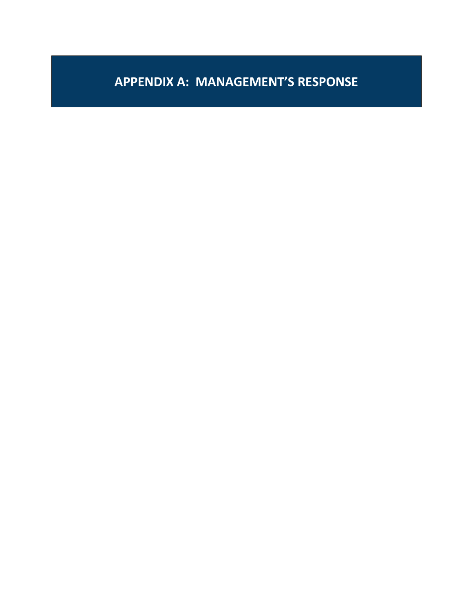# **APPENDIX A: MANAGEMENT'S RESPONSE**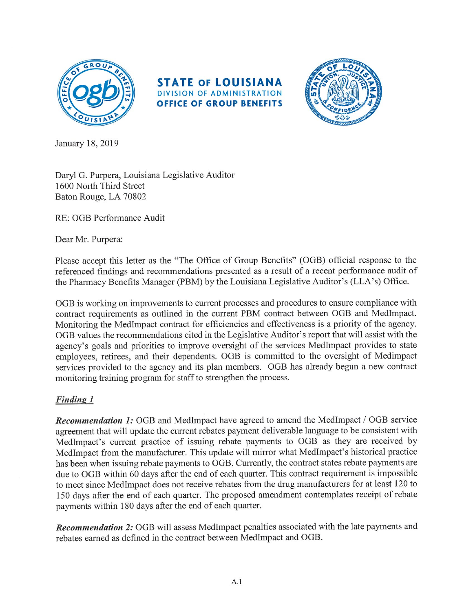





January 18, 2019

Daryl G. Purpera, Louisiana Legislative Auditor 1600 North Third Street Baton Rouge, LA 70802

RE: OGB Performance Audit

Dear Mr. Purpera:

Please accept this letter as the "The Office of Group Benefits" (OGB) official response to the referenced findings and recommendations presented as a result of a recent performance audit of the Pharmacy Benefits Manager (PBM) by the Louisiana Legislative Auditor's (LLA's) Office.

OGB is working on improvements to current processes and procedures to ensure compliance with contract requirements as outlined in the current PBM contract between OGB and MedImpact. Monitoring the MedImpact contract for efficiencies and effectiveness is a priority of the agency. OGB values the recommendations cited in the Legislative Auditor's report that will assist with the agency's goals and priorities to improve oversight of the services MedImpact provides to state employees, retirees, and their dependents. OGB is committed to the oversight of Medimpact services provided to the agency and its plan members. OGB has already begun a new contract monitoring training program for staff to strengthen the process.

### **Finding 1**

Recommendation 1: OGB and MedImpact have agreed to amend the MedImpact / OGB service agreement that will update the current rebates payment deliverable language to be consistent with MedImpact's current practice of issuing rebate payments to OGB as they are received by MedImpact from the manufacturer. This update will mirror what MedImpact's historical practice has been when issuing rebate payments to OGB. Currently, the contract states rebate payments are due to OGB within 60 days after the end of each quarter. This contract requirement is impossible to meet since MedImpact does not receive rebates from the drug manufacturers for at least 120 to 150 days after the end of each quarter. The proposed amendment contemplates receipt of rebate payments within 180 days after the end of each quarter.

Recommendation 2: OGB will assess MedImpact penalties associated with the late payments and rebates earned as defined in the contract between MedImpact and OGB.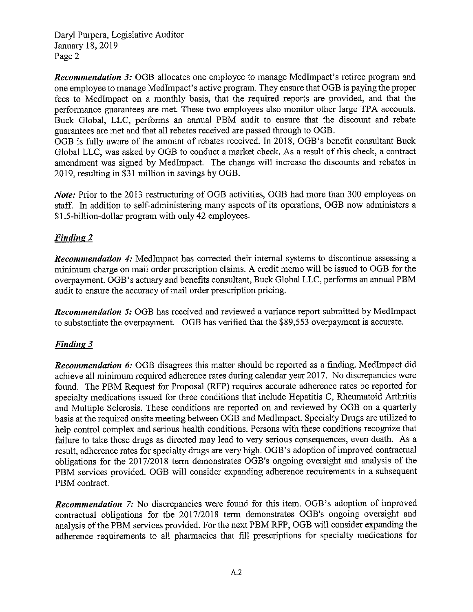Daryl Purpera, Legislative Auditor January 18, 2019 Page 2

**Recommendation 3:** OGB allocates one employee to manage MedImpact's retiree program and one employee to manage MedImpact's active program. They ensure that OGB is paying the proper fees to MedImpact on a monthly basis, that the required reports are provided, and that the performance guarantees are met. These two employees also monitor other large TPA accounts. Buck Global, LLC, performs an annual PBM audit to ensure that the discount and rebate guarantees are met and that all rebates received are passed through to OGB.

OGB is fully aware of the amount of rebates received. In 2018, OGB's benefit consultant Buck Global LLC, was asked by OGB to conduct a market check. As a result of this check, a contract amendment was signed by MedImpact. The change will increase the discounts and rebates in 2019, resulting in \$31 million in savings by OGB.

Note: Prior to the 2013 restructuring of OGB activities, OGB had more than 300 employees on staff. In addition to self-administering many aspects of its operations, OGB now administers a \$1.5-billion-dollar program with only 42 employees.

### **Finding 2**

**Recommendation 4:** MedImpact has corrected their internal systems to discontinue assessing a minimum charge on mail order prescription claims. A credit memo will be issued to OGB for the overpayment. OGB's actuary and benefits consultant, Buck Global LLC, performs an annual PBM audit to ensure the accuracy of mail order prescription pricing.

**Recommendation 5: OGB** has received and reviewed a variance report submitted by MedImpact to substantiate the overpayment. OGB has verified that the \$89,553 overpayment is accurate.

### **Finding 3**

Recommendation 6: OGB disagrees this matter should be reported as a finding. MedImpact did achieve all minimum required adherence rates during calendar year 2017. No discrepancies were found. The PBM Request for Proposal (RFP) requires accurate adherence rates be reported for specialty medications issued for three conditions that include Hepatitis C, Rheumatoid Arthritis and Multiple Sclerosis. These conditions are reported on and reviewed by OGB on a quarterly basis at the required onsite meeting between OGB and MedImpact. Specialty Drugs are utilized to help control complex and serious health conditions. Persons with these conditions recognize that failure to take these drugs as directed may lead to very serious consequences, even death. As a result, adherence rates for specialty drugs are very high. OGB's adoption of improved contractual obligations for the 2017/2018 term demonstrates OGB's ongoing oversight and analysis of the PBM services provided. OGB will consider expanding adherence requirements in a subsequent PBM contract.

**Recommendation** 7: No discrepancies were found for this item. OGB's adoption of improved contractual obligations for the 2017/2018 term demonstrates OGB's ongoing oversight and analysis of the PBM services provided. For the next PBM RFP, OGB will consider expanding the adherence requirements to all pharmacies that fill prescriptions for specialty medications for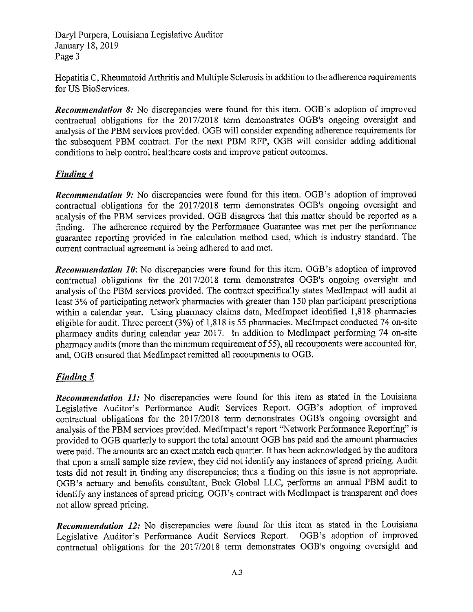Daryl Purpera, Louisiana Legislative Auditor January 18, 2019 Page 3

Hepatitis C, Rheumatoid Arthritis and Multiple Sclerosis in addition to the adherence requirements for US BioServices.

**Recommendation 8:** No discrepancies were found for this item. OGB's adoption of improved contractual obligations for the 2017/2018 term demonstrates OGB's ongoing oversight and analysis of the PBM services provided. OGB will consider expanding adherence requirements for the subsequent PBM contract. For the next PBM RFP, OGB will consider adding additional conditions to help control healthcare costs and improve patient outcomes.

### **Finding 4**

**Recommendation 9:** No discrepancies were found for this item. OGB's adoption of improved contractual obligations for the 2017/2018 term demonstrates OGB's ongoing oversight and analysis of the PBM services provided. OGB disagrees that this matter should be reported as a finding. The adherence required by the Performance Guarantee was met per the performance guarantee reporting provided in the calculation method used, which is industry standard. The current contractual agreement is being adhered to and met.

**Recommendation 10:** No discrepancies were found for this item. OGB's adoption of improved contractual obligations for the 2017/2018 term demonstrates OGB's ongoing oversight and analysis of the PBM services provided. The contract specifically states MedImpact will audit at least 3% of participating network pharmacies with greater than 150 plan participant prescriptions within a calendar year. Using pharmacy claims data, MedImpact identified 1,818 pharmacies eligible for audit. Three percent (3%) of 1,818 is 55 pharmacies. MedImpact conducted 74 on-site pharmacy audits during calendar year 2017. In addition to MedImpact performing 74 on-site pharmacy audits (more than the minimum requirement of 55), all recoupments were accounted for, and, OGB ensured that MedImpact remitted all recoupments to OGB.

### Finding 5

Recommendation 11: No discrepancies were found for this item as stated in the Louisiana Legislative Auditor's Performance Audit Services Report. OGB's adoption of improved contractual obligations for the 2017/2018 term demonstrates OGB's ongoing oversight and analysis of the PBM services provided. MedImpact's report "Network Performance Reporting" is provided to OGB quarterly to support the total amount OGB has paid and the amount pharmacies were paid. The amounts are an exact match each quarter. It has been acknowledged by the auditors that upon a small sample size review, they did not identify any instances of spread pricing. Audit tests did not result in finding any discrepancies; thus a finding on this issue is not appropriate. OGB's actuary and benefits consultant, Buck Global LLC, performs an annual PBM audit to identify any instances of spread pricing. OGB's contract with MedImpact is transparent and does not allow spread pricing.

Recommendation 12: No discrepancies were found for this item as stated in the Louisiana Legislative Auditor's Performance Audit Services Report. OGB's adoption of improved contractual obligations for the 2017/2018 term demonstrates OGB's ongoing oversight and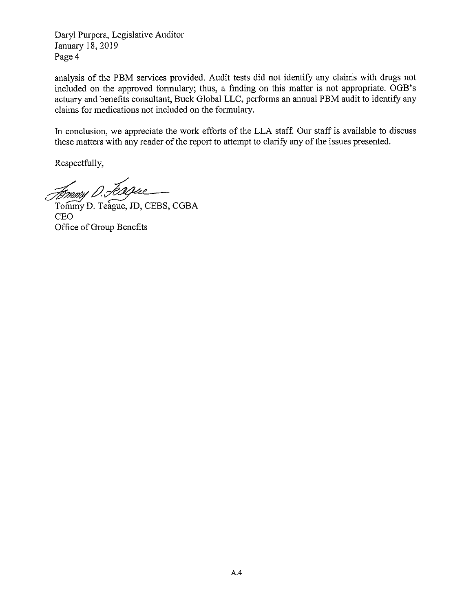Daryl Purpera, Legislative Auditor January 18, 2019 Page 4

analysis of the PBM services provided. Audit tests did not identify any claims with drugs not included on the approved formulary; thus, a finding on this matter is not appropriate. OGB's actuary and benefits consultant, Buck Global LLC, performs an annual PBM audit to identify any claims for medications not included on the formulary.

In conclusion, we appreciate the work efforts of the LLA staff. Our staff is available to discuss these matters with any reader of the report to attempt to clarify any of the issues presented.

Respectfully,

Femmy D. Feague

Tommy D. Teague, JD, CEBS, CGBA **CEO** Office of Group Benefits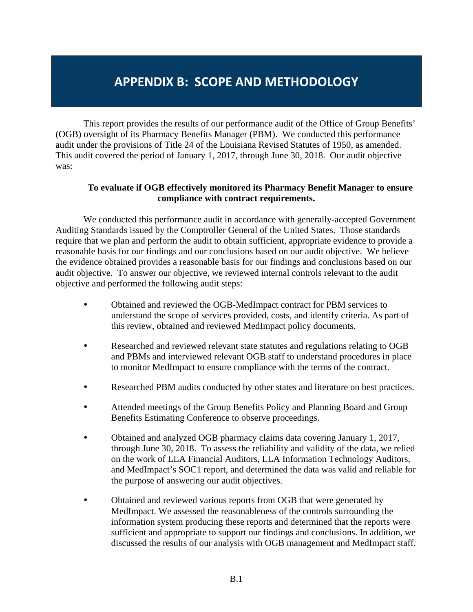## **APPENDIX B: SCOPE AND METHODOLOGY**

This report provides the results of our performance audit of the Office of Group Benefits' (OGB) oversight of its Pharmacy Benefits Manager (PBM). We conducted this performance audit under the provisions of Title 24 of the Louisiana Revised Statutes of 1950, as amended. This audit covered the period of January 1, 2017, through June 30, 2018. Our audit objective was:

### **To evaluate if OGB effectively monitored its Pharmacy Benefit Manager to ensure compliance with contract requirements.**

We conducted this performance audit in accordance with generally-accepted Government Auditing Standards issued by the Comptroller General of the United States. Those standards require that we plan and perform the audit to obtain sufficient, appropriate evidence to provide a reasonable basis for our findings and our conclusions based on our audit objective. We believe the evidence obtained provides a reasonable basis for our findings and conclusions based on our audit objective. To answer our objective, we reviewed internal controls relevant to the audit objective and performed the following audit steps:

- Obtained and reviewed the OGB-MedImpact contract for PBM services to understand the scope of services provided, costs, and identify criteria. As part of this review, obtained and reviewed MedImpact policy documents.
- Researched and reviewed relevant state statutes and regulations relating to OGB and PBMs and interviewed relevant OGB staff to understand procedures in place to monitor MedImpact to ensure compliance with the terms of the contract.
- Researched PBM audits conducted by other states and literature on best practices.
- Attended meetings of the Group Benefits Policy and Planning Board and Group Benefits Estimating Conference to observe proceedings.
- Obtained and analyzed OGB pharmacy claims data covering January 1, 2017, through June 30, 2018. To assess the reliability and validity of the data, we relied on the work of LLA Financial Auditors, LLA Information Technology Auditors, and MedImpact's SOC1 report, and determined the data was valid and reliable for the purpose of answering our audit objectives.
- Obtained and reviewed various reports from OGB that were generated by MedImpact. We assessed the reasonableness of the controls surrounding the information system producing these reports and determined that the reports were sufficient and appropriate to support our findings and conclusions. In addition, we discussed the results of our analysis with OGB management and MedImpact staff.